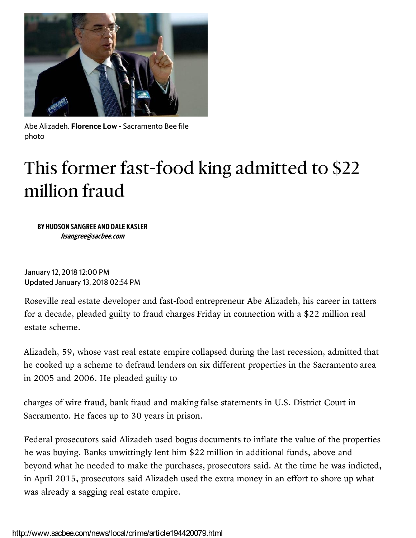

Abe Alizadeh. **Florence Low** - Sacramento Bee file photo

## This former fast-food king admitted to \$22 million fraud

**BY HUDSON SANGREE AND DALE KASLER** *hsangree@sacbee.com*

January 12, 2018 12:00 PM Updated January 13, 2018 02:54 PM

Roseville real estate developer and fast-food entrepreneur Abe Alizadeh, his career in tatters for a decade, pleaded guilty to fraud charges Friday in connection with a \$22 million real estate scheme.

Alizadeh, 59, whose vast real estate empire collapsed during the last recession, admitted that he cooked up a scheme to defraud lenders on six different properties in the Sacramento area in 2005 and 2006. He pleaded guilty to

charges of wire fraud, bank fraud and making false statements in U.S. District Court in Sacramento. He faces up to 30 years in prison.

Federal prosecutors said Alizadeh used bogus documents to inflate the value of the properties he was buying. Banks unwittingly lent him \$22 million in additional funds, above and beyond what he needed to make the purchases, prosecutors said. At the time he was indicted, in April 2015, prosecutors said Alizadeh used the extra money in an effort to shore up what was already a sagging real estate empire.